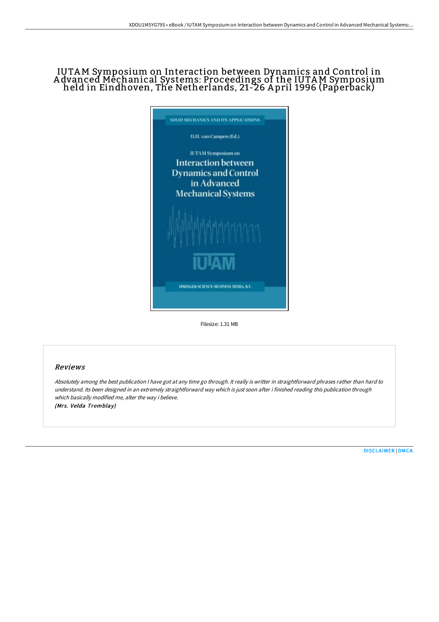## IUTAM Symposium on Interaction between Dynamics and Control in A dvanced Mechanical Systems: Proceedings of the IUTAM Symposium held in Eindhoven, The Netherlands, 21-26 A pril 1996 (Paperback)



Filesize: 1.31 MB

## Reviews

Absolutely among the best publication <sup>I</sup> have got at any time go through. It really is writter in straightforward phrases rather than hard to understand. Its been designed in an extremely straightforward way which is just soon after i finished reading this publication through which basically modified me, alter the way i believe. (Mrs. Velda Tremblay)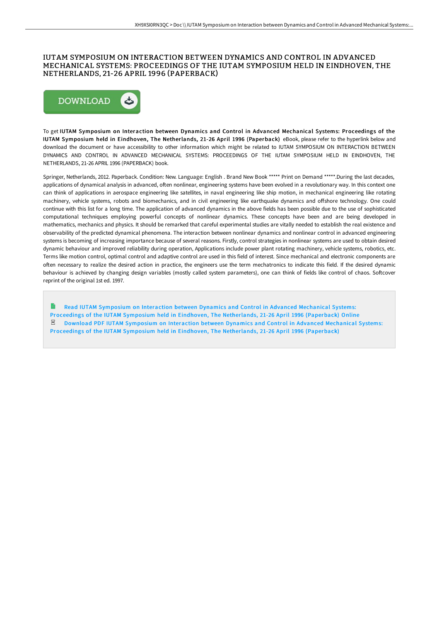## IUTAM SYMPOSIUM ON INTERACTION BETWEEN DYNAMICS AND CONTROL IN ADVANCED MECHANICAL SYSTEMS: PROCEEDINGS OF THE IUTAM SYMPOSIUM HELD IN EINDHOVEN, THE NETHERLANDS, 21-26 APRIL 1996 (PAPERBACK)



To get IUTAM Symposium on Interaction between Dynamics and Control in Advanced Mechanical Systems: Proceedings of the IUTAM Symposium held in Eindhoven, The Netherlands, 21-26 April 1996 (Paperback) eBook, please refer to the hyperlink below and download the document or have accessibility to other information which might be related to IUTAM SYMPOSIUM ON INTERACTION BETWEEN DYNAMICS AND CONTROL IN ADVANCED MECHANICAL SYSTEMS: PROCEEDINGS OF THE IUTAM SYMPOSIUM HELD IN EINDHOVEN, THE NETHERLANDS, 21-26 APRIL 1996 (PAPERBACK) book.

Springer, Netherlands, 2012. Paperback. Condition: New. Language: English . Brand New Book \*\*\*\*\* Print on Demand \*\*\*\*\*.During the last decades, applications of dynamical analysis in advanced, often nonlinear, engineering systems have been evolved in a revolutionary way. In this context one can think of applications in aerospace engineering like satellites, in naval engineering like ship motion, in mechanical engineering like rotating machinery, vehicle systems, robots and biomechanics, and in civil engineering like earthquake dynamics and offshore technology. One could continue with this list for a long time. The application of advanced dynamics in the above fields has been possible due to the use of sophisticated computational techniques employing powerful concepts of nonlinear dynamics. These concepts have been and are being developed in mathematics, mechanics and physics. It should be remarked that careful experimental studies are vitally needed to establish the real existence and observability of the predicted dynamical phenomena. The interaction between nonlinear dynamics and nonlinear control in advanced engineering systems is becoming of increasing importance because of several reasons. Firstly, control strategies in nonlinear systems are used to obtain desired dynamic behaviour and improved reliability during operation, Applications include power plant rotating machinery, vehicle systems, robotics, etc. Terms like motion control, optimal control and adaptive control are used in this field of interest. Since mechanical and electronic components are often necessary to realize the desired action in practice, the engineers use the term mechatronics to indicate this field. If the desired dynamic behaviour is achieved by changing design variables (mostly called system parameters), one can think of fields like control of chaos. Softcover reprint of the original 1st ed. 1997.

e Read IUTAM Symposium on Interaction between Dynamics and Control in Advanced Mechanical Systems: Proceedings of the IUTAM Symposium held in Eindhoven, The [Netherlands,](http://techno-pub.tech/iutam-symposium-on-interaction-between-dynamics-.html) 21-26 April 1996 (Paperback) Online PDF Download PDF IUTAM Symposium on Interaction between Dynamics and Control in Advanced Mechanical Systems: Proceedings of the IUTAM Symposium held in Eindhoven, The [Netherlands,](http://techno-pub.tech/iutam-symposium-on-interaction-between-dynamics-.html) 21-26 April 1996 (Paperback)